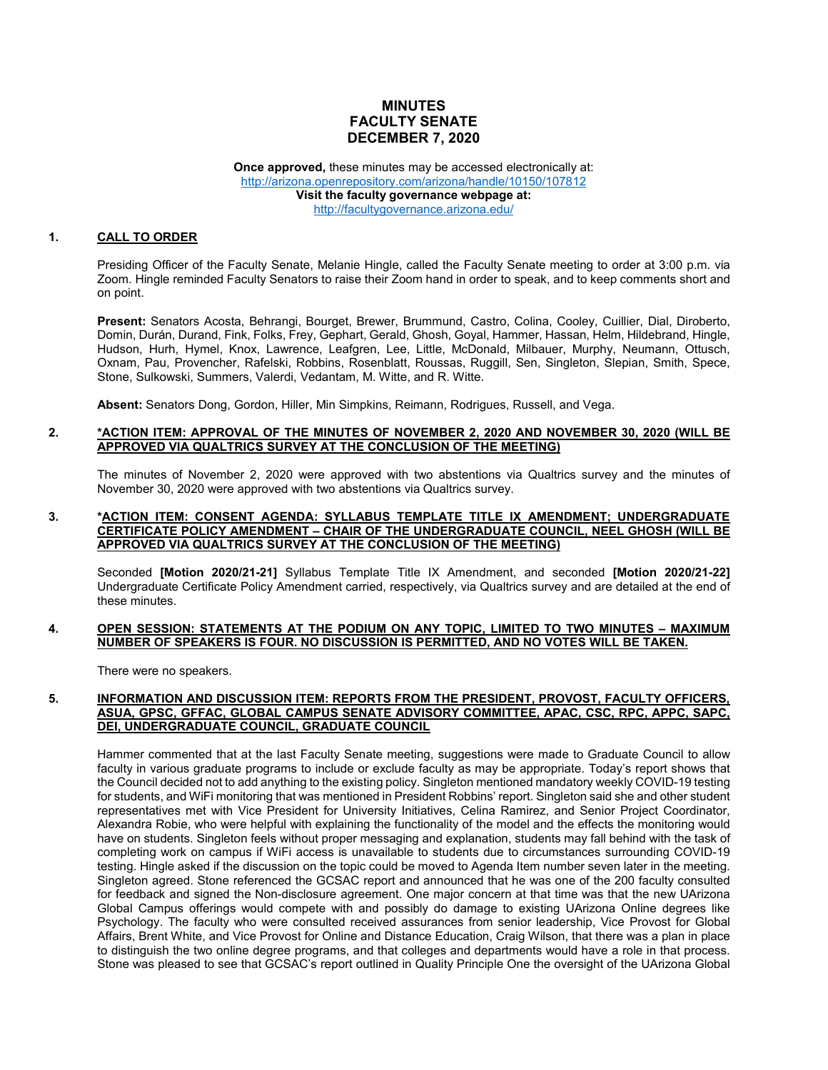# **MINUTES FACULTY SENATE DECEMBER 7, 2020**

**Once approved,** these minutes may be accessed electronically at: <http://arizona.openrepository.com/arizona/handle/10150/107812> **Visit the faculty governance webpage at:** <http://facultygovernance.arizona.edu/>

## **1. CALL TO ORDER**

Presiding Officer of the Faculty Senate, Melanie Hingle, called the Faculty Senate meeting to order at 3:00 p.m. via Zoom. Hingle reminded Faculty Senators to raise their Zoom hand in order to speak, and to keep comments short and on point.

**Present:** Senators Acosta, Behrangi, Bourget, Brewer, Brummund, Castro, Colina, Cooley, Cuillier, Dial, Diroberto, Domin, Durán, Durand, Fink, Folks, Frey, Gephart, Gerald, Ghosh, Goyal, Hammer, Hassan, Helm, Hildebrand, Hingle, Hudson, Hurh, Hymel, Knox, Lawrence, Leafgren, Lee, Little, McDonald, Milbauer, Murphy, Neumann, Ottusch, Oxnam, Pau, Provencher, Rafelski, Robbins, Rosenblatt, Roussas, Ruggill, Sen, Singleton, Slepian, Smith, Spece, Stone, Sulkowski, Summers, Valerdi, Vedantam, M. Witte, and R. Witte.

**Absent:** Senators Dong, Gordon, Hiller, Min Simpkins, Reimann, Rodrigues, Russell, and Vega.

### **2. \*ACTION ITEM: APPROVAL OF THE MINUTES OF NOVEMBER 2, 2020 AND NOVEMBER 30, 2020 (WILL BE APPROVED VIA QUALTRICS SURVEY AT THE CONCLUSION OF THE MEETING)**

The minutes of November 2, 2020 were approved with two abstentions via Qualtrics survey and the minutes of November 30, 2020 were approved with two abstentions via Qualtrics survey.

### **3. \*ACTION ITEM: CONSENT AGENDA: SYLLABUS TEMPLATE TITLE IX AMENDMENT; UNDERGRADUATE CERTIFICATE POLICY AMENDMENT – CHAIR OF THE UNDERGRADUATE COUNCIL, NEEL GHOSH (WILL BE APPROVED VIA QUALTRICS SURVEY AT THE CONCLUSION OF THE MEETING)**

Seconded **[Motion 2020/21-21]** Syllabus Template Title IX Amendment, and seconded **[Motion 2020/21-22]** Undergraduate Certificate Policy Amendment carried, respectively, via Qualtrics survey and are detailed at the end of these minutes.

#### **4. OPEN SESSION: STATEMENTS AT THE PODIUM ON ANY TOPIC, LIMITED TO TWO MINUTES – MAXIMUM NUMBER OF SPEAKERS IS FOUR. NO DISCUSSION IS PERMITTED, AND NO VOTES WILL BE TAKEN.**

There were no speakers.

#### **5. INFORMATION AND DISCUSSION ITEM: REPORTS FROM THE PRESIDENT, PROVOST, FACULTY OFFICERS, ASUA, GPSC, GFFAC, GLOBAL CAMPUS SENATE ADVISORY COMMITTEE, APAC, CSC, RPC, APPC, SAPC, DEI, UNDERGRADUATE COUNCIL, GRADUATE COUNCIL**

Hammer commented that at the last Faculty Senate meeting, suggestions were made to Graduate Council to allow faculty in various graduate programs to include or exclude faculty as may be appropriate. Today's report shows that the Council decided not to add anything to the existing policy. Singleton mentioned mandatory weekly COVID-19 testing for students, and WiFi monitoring that was mentioned in President Robbins' report. Singleton said she and other student representatives met with Vice President for University Initiatives, Celina Ramirez, and Senior Project Coordinator, Alexandra Robie, who were helpful with explaining the functionality of the model and the effects the monitoring would have on students. Singleton feels without proper messaging and explanation, students may fall behind with the task of completing work on campus if WiFi access is unavailable to students due to circumstances surrounding COVID-19 testing. Hingle asked if the discussion on the topic could be moved to Agenda Item number seven later in the meeting. Singleton agreed. Stone referenced the GCSAC report and announced that he was one of the 200 faculty consulted for feedback and signed the Non-disclosure agreement. One major concern at that time was that the new UArizona Global Campus offerings would compete with and possibly do damage to existing UArizona Online degrees like Psychology. The faculty who were consulted received assurances from senior leadership, Vice Provost for Global Affairs, Brent White, and Vice Provost for Online and Distance Education, Craig Wilson, that there was a plan in place to distinguish the two online degree programs, and that colleges and departments would have a role in that process. Stone was pleased to see that GCSAC's report outlined in Quality Principle One the oversight of the UArizona Global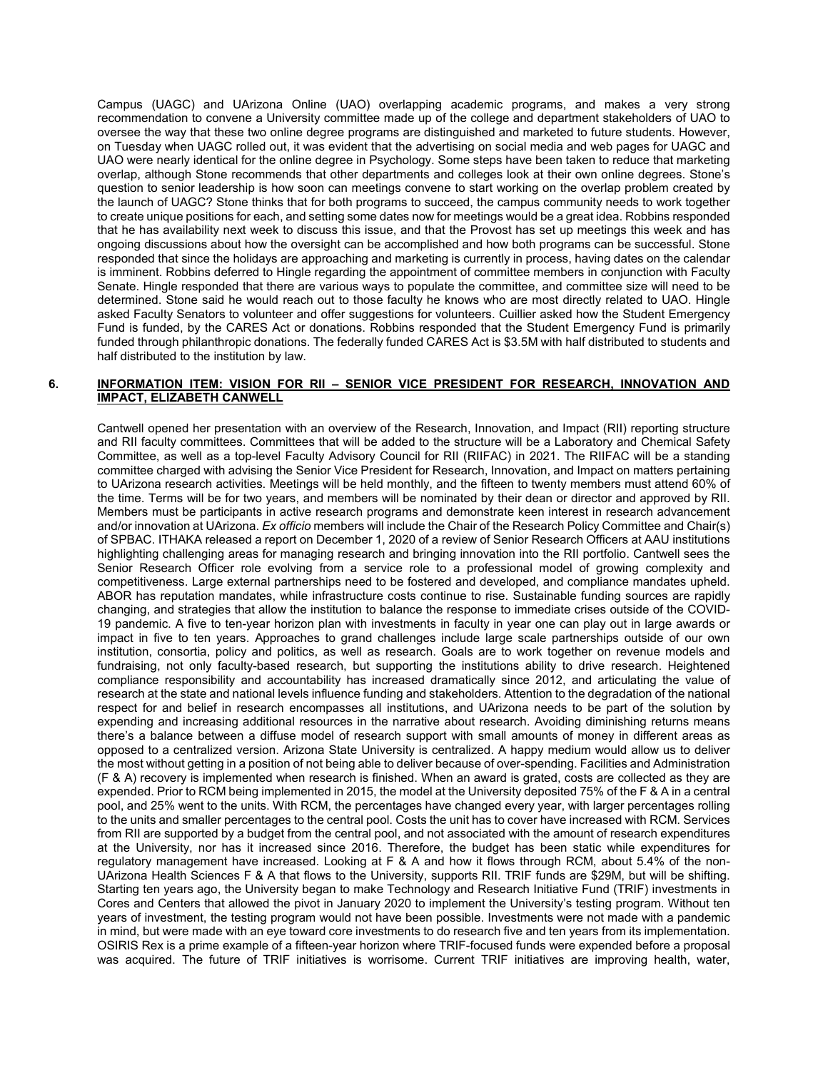Campus (UAGC) and UArizona Online (UAO) overlapping academic programs, and makes a very strong recommendation to convene a University committee made up of the college and department stakeholders of UAO to oversee the way that these two online degree programs are distinguished and marketed to future students. However, on Tuesday when UAGC rolled out, it was evident that the advertising on social media and web pages for UAGC and UAO were nearly identical for the online degree in Psychology. Some steps have been taken to reduce that marketing overlap, although Stone recommends that other departments and colleges look at their own online degrees. Stone's question to senior leadership is how soon can meetings convene to start working on the overlap problem created by the launch of UAGC? Stone thinks that for both programs to succeed, the campus community needs to work together to create unique positions for each, and setting some dates now for meetings would be a great idea. Robbins responded that he has availability next week to discuss this issue, and that the Provost has set up meetings this week and has ongoing discussions about how the oversight can be accomplished and how both programs can be successful. Stone responded that since the holidays are approaching and marketing is currently in process, having dates on the calendar is imminent. Robbins deferred to Hingle regarding the appointment of committee members in conjunction with Faculty Senate. Hingle responded that there are various ways to populate the committee, and committee size will need to be determined. Stone said he would reach out to those faculty he knows who are most directly related to UAO. Hingle asked Faculty Senators to volunteer and offer suggestions for volunteers. Cuillier asked how the Student Emergency Fund is funded, by the CARES Act or donations. Robbins responded that the Student Emergency Fund is primarily funded through philanthropic donations. The federally funded CARES Act is \$3.5M with half distributed to students and half distributed to the institution by law.

### **6. INFORMATION ITEM: VISION FOR RII – SENIOR VICE PRESIDENT FOR RESEARCH, INNOVATION AND IMPACT, ELIZABETH CANWELL**

Cantwell opened her presentation with an overview of the Research, Innovation, and Impact (RII) reporting structure and RII faculty committees. Committees that will be added to the structure will be a Laboratory and Chemical Safety Committee, as well as a top-level Faculty Advisory Council for RII (RIIFAC) in 2021. The RIIFAC will be a standing committee charged with advising the Senior Vice President for Research, Innovation, and Impact on matters pertaining to UArizona research activities. Meetings will be held monthly, and the fifteen to twenty members must attend 60% of the time. Terms will be for two years, and members will be nominated by their dean or director and approved by RII. Members must be participants in active research programs and demonstrate keen interest in research advancement and/or innovation at UArizona. *Ex officio* members will include the Chair of the Research Policy Committee and Chair(s) of SPBAC. ITHAKA released a report on December 1, 2020 of a review of Senior Research Officers at AAU institutions highlighting challenging areas for managing research and bringing innovation into the RII portfolio. Cantwell sees the Senior Research Officer role evolving from a service role to a professional model of growing complexity and competitiveness. Large external partnerships need to be fostered and developed, and compliance mandates upheld. ABOR has reputation mandates, while infrastructure costs continue to rise. Sustainable funding sources are rapidly changing, and strategies that allow the institution to balance the response to immediate crises outside of the COVID-19 pandemic. A five to ten-year horizon plan with investments in faculty in year one can play out in large awards or impact in five to ten years. Approaches to grand challenges include large scale partnerships outside of our own institution, consortia, policy and politics, as well as research. Goals are to work together on revenue models and fundraising, not only faculty-based research, but supporting the institutions ability to drive research. Heightened compliance responsibility and accountability has increased dramatically since 2012, and articulating the value of research at the state and national levels influence funding and stakeholders. Attention to the degradation of the national respect for and belief in research encompasses all institutions, and UArizona needs to be part of the solution by expending and increasing additional resources in the narrative about research. Avoiding diminishing returns means there's a balance between a diffuse model of research support with small amounts of money in different areas as opposed to a centralized version. Arizona State University is centralized. A happy medium would allow us to deliver the most without getting in a position of not being able to deliver because of over-spending. Facilities and Administration (F & A) recovery is implemented when research is finished. When an award is grated, costs are collected as they are expended. Prior to RCM being implemented in 2015, the model at the University deposited 75% of the F & A in a central pool, and 25% went to the units. With RCM, the percentages have changed every year, with larger percentages rolling to the units and smaller percentages to the central pool. Costs the unit has to cover have increased with RCM. Services from RII are supported by a budget from the central pool, and not associated with the amount of research expenditures at the University, nor has it increased since 2016. Therefore, the budget has been static while expenditures for regulatory management have increased. Looking at F & A and how it flows through RCM, about 5.4% of the non-UArizona Health Sciences F & A that flows to the University, supports RII. TRIF funds are \$29M, but will be shifting. Starting ten years ago, the University began to make Technology and Research Initiative Fund (TRIF) investments in Cores and Centers that allowed the pivot in January 2020 to implement the University's testing program. Without ten years of investment, the testing program would not have been possible. Investments were not made with a pandemic in mind, but were made with an eye toward core investments to do research five and ten years from its implementation. OSIRIS Rex is a prime example of a fifteen-year horizon where TRIF-focused funds were expended before a proposal was acquired. The future of TRIF initiatives is worrisome. Current TRIF initiatives are improving health, water,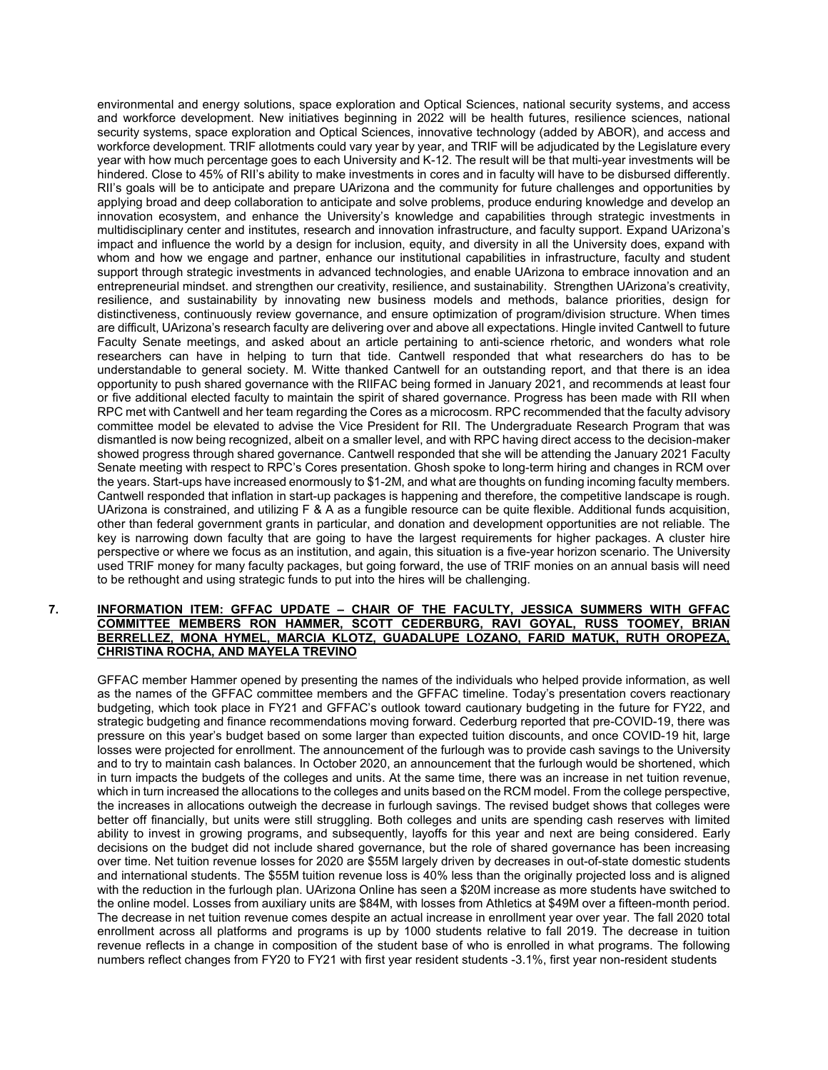environmental and energy solutions, space exploration and Optical Sciences, national security systems, and access and workforce development. New initiatives beginning in 2022 will be health futures, resilience sciences, national security systems, space exploration and Optical Sciences, innovative technology (added by ABOR), and access and workforce development. TRIF allotments could vary year by year, and TRIF will be adjudicated by the Legislature every year with how much percentage goes to each University and K-12. The result will be that multi-year investments will be hindered. Close to 45% of RII's ability to make investments in cores and in faculty will have to be disbursed differently. RII's goals will be to anticipate and prepare UArizona and the community for future challenges and opportunities by applying broad and deep collaboration to anticipate and solve problems, produce enduring knowledge and develop an innovation ecosystem, and enhance the University's knowledge and capabilities through strategic investments in multidisciplinary center and institutes, research and innovation infrastructure, and faculty support. Expand UArizona's impact and influence the world by a design for inclusion, equity, and diversity in all the University does, expand with whom and how we engage and partner, enhance our institutional capabilities in infrastructure, faculty and student support through strategic investments in advanced technologies, and enable UArizona to embrace innovation and an entrepreneurial mindset. and strengthen our creativity, resilience, and sustainability. Strengthen UArizona's creativity, resilience, and sustainability by innovating new business models and methods, balance priorities, design for distinctiveness, continuously review governance, and ensure optimization of program/division structure. When times are difficult, UArizona's research faculty are delivering over and above all expectations. Hingle invited Cantwell to future Faculty Senate meetings, and asked about an article pertaining to anti-science rhetoric, and wonders what role researchers can have in helping to turn that tide. Cantwell responded that what researchers do has to be understandable to general society. M. Witte thanked Cantwell for an outstanding report, and that there is an idea opportunity to push shared governance with the RIIFAC being formed in January 2021, and recommends at least four or five additional elected faculty to maintain the spirit of shared governance. Progress has been made with RII when RPC met with Cantwell and her team regarding the Cores as a microcosm. RPC recommended that the faculty advisory committee model be elevated to advise the Vice President for RII. The Undergraduate Research Program that was dismantled is now being recognized, albeit on a smaller level, and with RPC having direct access to the decision-maker showed progress through shared governance. Cantwell responded that she will be attending the January 2021 Faculty Senate meeting with respect to RPC's Cores presentation. Ghosh spoke to long-term hiring and changes in RCM over the years. Start-ups have increased enormously to \$1-2M, and what are thoughts on funding incoming faculty members. Cantwell responded that inflation in start-up packages is happening and therefore, the competitive landscape is rough. UArizona is constrained, and utilizing F & A as a fungible resource can be quite flexible. Additional funds acquisition, other than federal government grants in particular, and donation and development opportunities are not reliable. The key is narrowing down faculty that are going to have the largest requirements for higher packages. A cluster hire perspective or where we focus as an institution, and again, this situation is a five-year horizon scenario. The University used TRIF money for many faculty packages, but going forward, the use of TRIF monies on an annual basis will need to be rethought and using strategic funds to put into the hires will be challenging.

## **7. INFORMATION ITEM: GFFAC UPDATE – CHAIR OF THE FACULTY, JESSICA SUMMERS WITH GFFAC COMMITTEE MEMBERS RON HAMMER, SCOTT CEDERBURG, RAVI GOYAL, RUSS TOOMEY, BRIAN BERRELLEZ, MONA HYMEL, MARCIA KLOTZ, GUADALUPE LOZANO, FARID MATUK, RUTH OROPEZA, CHRISTINA ROCHA, AND MAYELA TREVINO**

GFFAC member Hammer opened by presenting the names of the individuals who helped provide information, as well as the names of the GFFAC committee members and the GFFAC timeline. Today's presentation covers reactionary budgeting, which took place in FY21 and GFFAC's outlook toward cautionary budgeting in the future for FY22, and strategic budgeting and finance recommendations moving forward. Cederburg reported that pre-COVID-19, there was pressure on this year's budget based on some larger than expected tuition discounts, and once COVID-19 hit, large losses were projected for enrollment. The announcement of the furlough was to provide cash savings to the University and to try to maintain cash balances. In October 2020, an announcement that the furlough would be shortened, which in turn impacts the budgets of the colleges and units. At the same time, there was an increase in net tuition revenue, which in turn increased the allocations to the colleges and units based on the RCM model. From the college perspective, the increases in allocations outweigh the decrease in furlough savings. The revised budget shows that colleges were better off financially, but units were still struggling. Both colleges and units are spending cash reserves with limited ability to invest in growing programs, and subsequently, layoffs for this year and next are being considered. Early decisions on the budget did not include shared governance, but the role of shared governance has been increasing over time. Net tuition revenue losses for 2020 are \$55M largely driven by decreases in out-of-state domestic students and international students. The \$55M tuition revenue loss is 40% less than the originally projected loss and is aligned with the reduction in the furlough plan. UArizona Online has seen a \$20M increase as more students have switched to the online model. Losses from auxiliary units are \$84M, with losses from Athletics at \$49M over a fifteen-month period. The decrease in net tuition revenue comes despite an actual increase in enrollment year over year. The fall 2020 total enrollment across all platforms and programs is up by 1000 students relative to fall 2019. The decrease in tuition revenue reflects in a change in composition of the student base of who is enrolled in what programs. The following numbers reflect changes from FY20 to FY21 with first year resident students -3.1%, first year non-resident students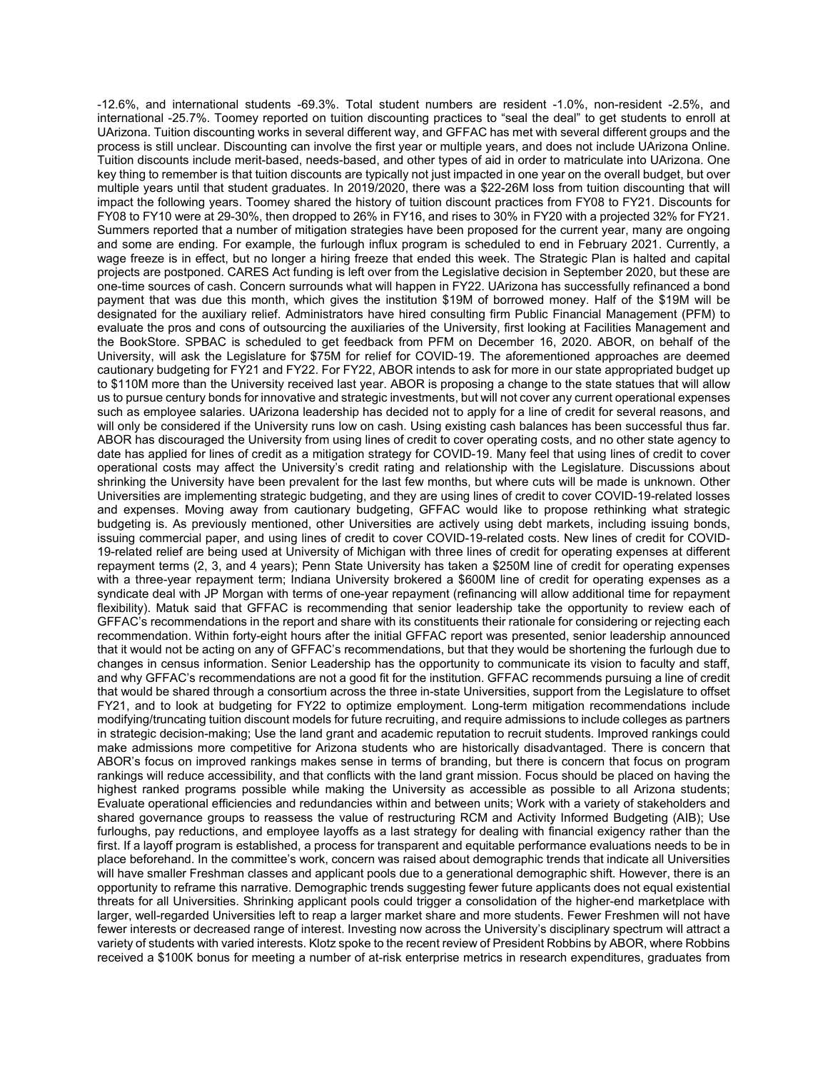-12.6%, and international students -69.3%. Total student numbers are resident -1.0%, non-resident -2.5%, and international -25.7%. Toomey reported on tuition discounting practices to "seal the deal" to get students to enroll at UArizona. Tuition discounting works in several different way, and GFFAC has met with several different groups and the process is still unclear. Discounting can involve the first year or multiple years, and does not include UArizona Online. Tuition discounts include merit-based, needs-based, and other types of aid in order to matriculate into UArizona. One key thing to remember is that tuition discounts are typically not just impacted in one year on the overall budget, but over multiple years until that student graduates. In 2019/2020, there was a \$22-26M loss from tuition discounting that will impact the following years. Toomey shared the history of tuition discount practices from FY08 to FY21. Discounts for FY08 to FY10 were at 29-30%, then dropped to 26% in FY16, and rises to 30% in FY20 with a projected 32% for FY21. Summers reported that a number of mitigation strategies have been proposed for the current year, many are ongoing and some are ending. For example, the furlough influx program is scheduled to end in February 2021. Currently, a wage freeze is in effect, but no longer a hiring freeze that ended this week. The Strategic Plan is halted and capital projects are postponed. CARES Act funding is left over from the Legislative decision in September 2020, but these are one-time sources of cash. Concern surrounds what will happen in FY22. UArizona has successfully refinanced a bond payment that was due this month, which gives the institution \$19M of borrowed money. Half of the \$19M will be designated for the auxiliary relief. Administrators have hired consulting firm Public Financial Management (PFM) to evaluate the pros and cons of outsourcing the auxiliaries of the University, first looking at Facilities Management and the BookStore. SPBAC is scheduled to get feedback from PFM on December 16, 2020. ABOR, on behalf of the University, will ask the Legislature for \$75M for relief for COVID-19. The aforementioned approaches are deemed cautionary budgeting for FY21 and FY22. For FY22, ABOR intends to ask for more in our state appropriated budget up to \$110M more than the University received last year. ABOR is proposing a change to the state statues that will allow us to pursue century bonds for innovative and strategic investments, but will not cover any current operational expenses such as employee salaries. UArizona leadership has decided not to apply for a line of credit for several reasons, and will only be considered if the University runs low on cash. Using existing cash balances has been successful thus far. ABOR has discouraged the University from using lines of credit to cover operating costs, and no other state agency to date has applied for lines of credit as a mitigation strategy for COVID-19. Many feel that using lines of credit to cover operational costs may affect the University's credit rating and relationship with the Legislature. Discussions about shrinking the University have been prevalent for the last few months, but where cuts will be made is unknown. Other Universities are implementing strategic budgeting, and they are using lines of credit to cover COVID-19-related losses and expenses. Moving away from cautionary budgeting, GFFAC would like to propose rethinking what strategic budgeting is. As previously mentioned, other Universities are actively using debt markets, including issuing bonds, issuing commercial paper, and using lines of credit to cover COVID-19-related costs. New lines of credit for COVID-19-related relief are being used at University of Michigan with three lines of credit for operating expenses at different repayment terms (2, 3, and 4 years); Penn State University has taken a \$250M line of credit for operating expenses with a three-year repayment term; Indiana University brokered a \$600M line of credit for operating expenses as a syndicate deal with JP Morgan with terms of one-year repayment (refinancing will allow additional time for repayment flexibility). Matuk said that GFFAC is recommending that senior leadership take the opportunity to review each of GFFAC's recommendations in the report and share with its constituents their rationale for considering or rejecting each recommendation. Within forty-eight hours after the initial GFFAC report was presented, senior leadership announced that it would not be acting on any of GFFAC's recommendations, but that they would be shortening the furlough due to changes in census information. Senior Leadership has the opportunity to communicate its vision to faculty and staff, and why GFFAC's recommendations are not a good fit for the institution. GFFAC recommends pursuing a line of credit that would be shared through a consortium across the three in-state Universities, support from the Legislature to offset FY21, and to look at budgeting for FY22 to optimize employment. Long-term mitigation recommendations include modifying/truncating tuition discount models for future recruiting, and require admissions to include colleges as partners in strategic decision-making; Use the land grant and academic reputation to recruit students. Improved rankings could make admissions more competitive for Arizona students who are historically disadvantaged. There is concern that ABOR's focus on improved rankings makes sense in terms of branding, but there is concern that focus on program rankings will reduce accessibility, and that conflicts with the land grant mission. Focus should be placed on having the highest ranked programs possible while making the University as accessible as possible to all Arizona students; Evaluate operational efficiencies and redundancies within and between units; Work with a variety of stakeholders and shared governance groups to reassess the value of restructuring RCM and Activity Informed Budgeting (AIB); Use furloughs, pay reductions, and employee layoffs as a last strategy for dealing with financial exigency rather than the first. If a layoff program is established, a process for transparent and equitable performance evaluations needs to be in place beforehand. In the committee's work, concern was raised about demographic trends that indicate all Universities will have smaller Freshman classes and applicant pools due to a generational demographic shift. However, there is an opportunity to reframe this narrative. Demographic trends suggesting fewer future applicants does not equal existential threats for all Universities. Shrinking applicant pools could trigger a consolidation of the higher-end marketplace with larger, well-regarded Universities left to reap a larger market share and more students. Fewer Freshmen will not have fewer interests or decreased range of interest. Investing now across the University's disciplinary spectrum will attract a variety of students with varied interests. Klotz spoke to the recent review of President Robbins by ABOR, where Robbins received a \$100K bonus for meeting a number of at-risk enterprise metrics in research expenditures, graduates from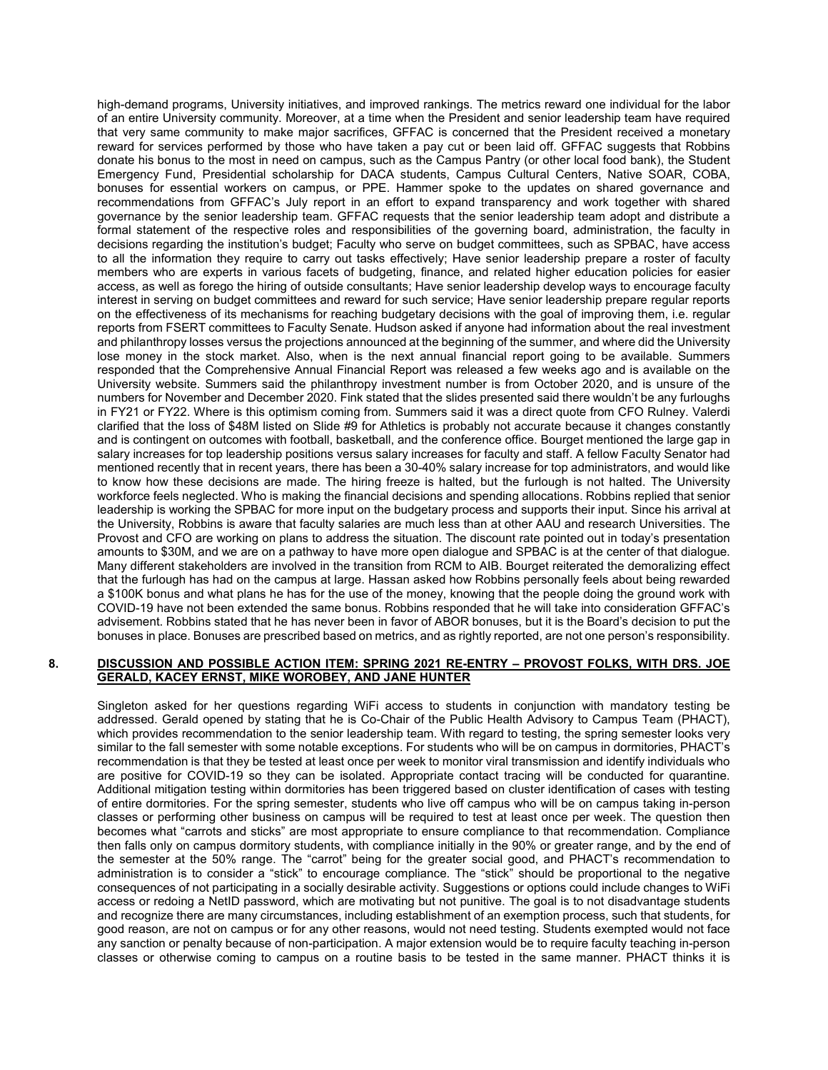high-demand programs, University initiatives, and improved rankings. The metrics reward one individual for the labor of an entire University community. Moreover, at a time when the President and senior leadership team have required that very same community to make major sacrifices, GFFAC is concerned that the President received a monetary reward for services performed by those who have taken a pay cut or been laid off. GFFAC suggests that Robbins donate his bonus to the most in need on campus, such as the Campus Pantry (or other local food bank), the Student Emergency Fund, Presidential scholarship for DACA students, Campus Cultural Centers, Native SOAR, COBA, bonuses for essential workers on campus, or PPE. Hammer spoke to the updates on shared governance and recommendations from GFFAC's July report in an effort to expand transparency and work together with shared governance by the senior leadership team. GFFAC requests that the senior leadership team adopt and distribute a formal statement of the respective roles and responsibilities of the governing board, administration, the faculty in decisions regarding the institution's budget; Faculty who serve on budget committees, such as SPBAC, have access to all the information they require to carry out tasks effectively; Have senior leadership prepare a roster of faculty members who are experts in various facets of budgeting, finance, and related higher education policies for easier access, as well as forego the hiring of outside consultants; Have senior leadership develop ways to encourage faculty interest in serving on budget committees and reward for such service; Have senior leadership prepare regular reports on the effectiveness of its mechanisms for reaching budgetary decisions with the goal of improving them, i.e. regular reports from FSERT committees to Faculty Senate. Hudson asked if anyone had information about the real investment and philanthropy losses versus the projections announced at the beginning of the summer, and where did the University lose money in the stock market. Also, when is the next annual financial report going to be available. Summers responded that the Comprehensive Annual Financial Report was released a few weeks ago and is available on the University website. Summers said the philanthropy investment number is from October 2020, and is unsure of the numbers for November and December 2020. Fink stated that the slides presented said there wouldn't be any furloughs in FY21 or FY22. Where is this optimism coming from. Summers said it was a direct quote from CFO Rulney. Valerdi clarified that the loss of \$48M listed on Slide #9 for Athletics is probably not accurate because it changes constantly and is contingent on outcomes with football, basketball, and the conference office. Bourget mentioned the large gap in salary increases for top leadership positions versus salary increases for faculty and staff. A fellow Faculty Senator had mentioned recently that in recent years, there has been a 30-40% salary increase for top administrators, and would like to know how these decisions are made. The hiring freeze is halted, but the furlough is not halted. The University workforce feels neglected. Who is making the financial decisions and spending allocations. Robbins replied that senior leadership is working the SPBAC for more input on the budgetary process and supports their input. Since his arrival at the University, Robbins is aware that faculty salaries are much less than at other AAU and research Universities. The Provost and CFO are working on plans to address the situation. The discount rate pointed out in today's presentation amounts to \$30M, and we are on a pathway to have more open dialogue and SPBAC is at the center of that dialogue. Many different stakeholders are involved in the transition from RCM to AIB. Bourget reiterated the demoralizing effect that the furlough has had on the campus at large. Hassan asked how Robbins personally feels about being rewarded a \$100K bonus and what plans he has for the use of the money, knowing that the people doing the ground work with COVID-19 have not been extended the same bonus. Robbins responded that he will take into consideration GFFAC's advisement. Robbins stated that he has never been in favor of ABOR bonuses, but it is the Board's decision to put the bonuses in place. Bonuses are prescribed based on metrics, and as rightly reported, are not one person's responsibility.

#### **8. DISCUSSION AND POSSIBLE ACTION ITEM: SPRING 2021 RE-ENTRY – PROVOST FOLKS, WITH DRS. JOE GERALD, KACEY ERNST, MIKE WOROBEY, AND JANE HUNTER**

Singleton asked for her questions regarding WiFi access to students in conjunction with mandatory testing be addressed. Gerald opened by stating that he is Co-Chair of the Public Health Advisory to Campus Team (PHACT), which provides recommendation to the senior leadership team. With regard to testing, the spring semester looks very similar to the fall semester with some notable exceptions. For students who will be on campus in dormitories, PHACT's recommendation is that they be tested at least once per week to monitor viral transmission and identify individuals who are positive for COVID-19 so they can be isolated. Appropriate contact tracing will be conducted for quarantine. Additional mitigation testing within dormitories has been triggered based on cluster identification of cases with testing of entire dormitories. For the spring semester, students who live off campus who will be on campus taking in-person classes or performing other business on campus will be required to test at least once per week. The question then becomes what "carrots and sticks" are most appropriate to ensure compliance to that recommendation. Compliance then falls only on campus dormitory students, with compliance initially in the 90% or greater range, and by the end of the semester at the 50% range. The "carrot" being for the greater social good, and PHACT's recommendation to administration is to consider a "stick" to encourage compliance. The "stick" should be proportional to the negative consequences of not participating in a socially desirable activity. Suggestions or options could include changes to WiFi access or redoing a NetID password, which are motivating but not punitive. The goal is to not disadvantage students and recognize there are many circumstances, including establishment of an exemption process, such that students, for good reason, are not on campus or for any other reasons, would not need testing. Students exempted would not face any sanction or penalty because of non-participation. A major extension would be to require faculty teaching in-person classes or otherwise coming to campus on a routine basis to be tested in the same manner. PHACT thinks it is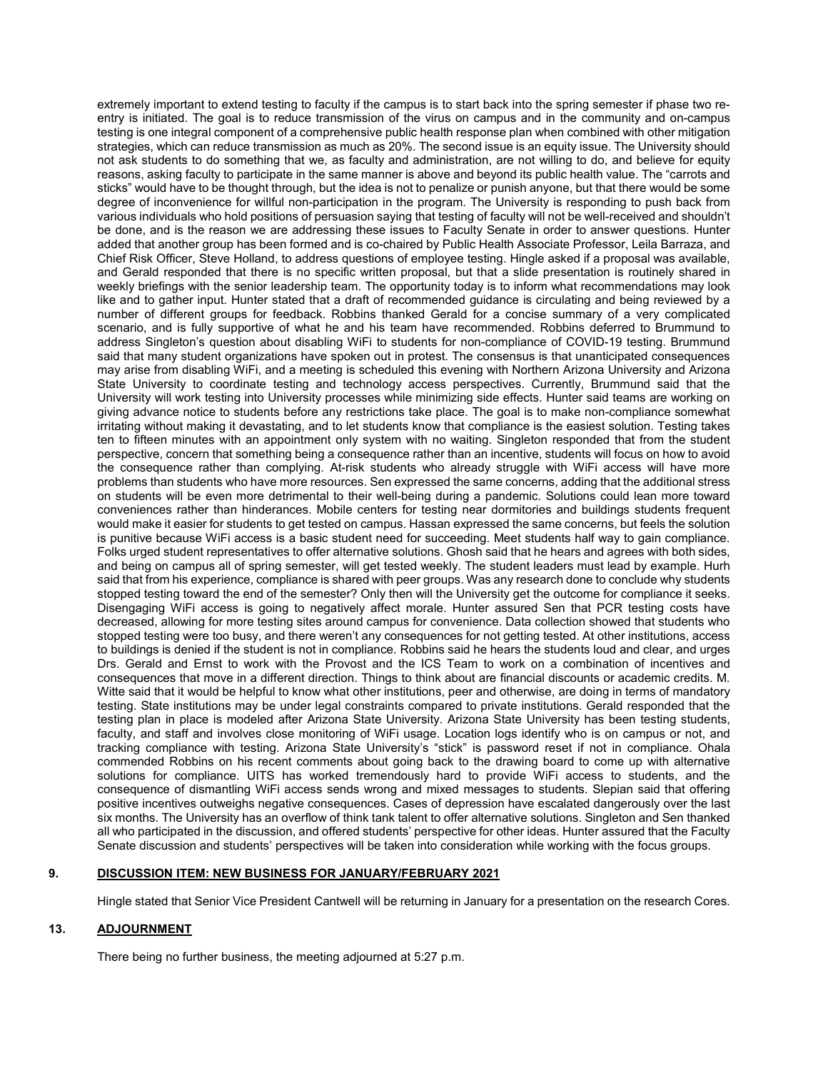extremely important to extend testing to faculty if the campus is to start back into the spring semester if phase two reentry is initiated. The goal is to reduce transmission of the virus on campus and in the community and on-campus testing is one integral component of a comprehensive public health response plan when combined with other mitigation strategies, which can reduce transmission as much as 20%. The second issue is an equity issue. The University should not ask students to do something that we, as faculty and administration, are not willing to do, and believe for equity reasons, asking faculty to participate in the same manner is above and beyond its public health value. The "carrots and sticks" would have to be thought through, but the idea is not to penalize or punish anyone, but that there would be some degree of inconvenience for willful non-participation in the program. The University is responding to push back from various individuals who hold positions of persuasion saying that testing of faculty will not be well-received and shouldn't be done, and is the reason we are addressing these issues to Faculty Senate in order to answer questions. Hunter added that another group has been formed and is co-chaired by Public Health Associate Professor, Leila Barraza, and Chief Risk Officer, Steve Holland, to address questions of employee testing. Hingle asked if a proposal was available, and Gerald responded that there is no specific written proposal, but that a slide presentation is routinely shared in weekly briefings with the senior leadership team. The opportunity today is to inform what recommendations may look like and to gather input. Hunter stated that a draft of recommended guidance is circulating and being reviewed by a number of different groups for feedback. Robbins thanked Gerald for a concise summary of a very complicated scenario, and is fully supportive of what he and his team have recommended. Robbins deferred to Brummund to address Singleton's question about disabling WiFi to students for non-compliance of COVID-19 testing. Brummund said that many student organizations have spoken out in protest. The consensus is that unanticipated consequences may arise from disabling WiFi, and a meeting is scheduled this evening with Northern Arizona University and Arizona State University to coordinate testing and technology access perspectives. Currently, Brummund said that the University will work testing into University processes while minimizing side effects. Hunter said teams are working on giving advance notice to students before any restrictions take place. The goal is to make non-compliance somewhat irritating without making it devastating, and to let students know that compliance is the easiest solution. Testing takes ten to fifteen minutes with an appointment only system with no waiting. Singleton responded that from the student perspective, concern that something being a consequence rather than an incentive, students will focus on how to avoid the consequence rather than complying. At-risk students who already struggle with WiFi access will have more problems than students who have more resources. Sen expressed the same concerns, adding that the additional stress on students will be even more detrimental to their well-being during a pandemic. Solutions could lean more toward conveniences rather than hinderances. Mobile centers for testing near dormitories and buildings students frequent would make it easier for students to get tested on campus. Hassan expressed the same concerns, but feels the solution is punitive because WiFi access is a basic student need for succeeding. Meet students half way to gain compliance. Folks urged student representatives to offer alternative solutions. Ghosh said that he hears and agrees with both sides, and being on campus all of spring semester, will get tested weekly. The student leaders must lead by example. Hurh said that from his experience, compliance is shared with peer groups. Was any research done to conclude why students stopped testing toward the end of the semester? Only then will the University get the outcome for compliance it seeks. Disengaging WiFi access is going to negatively affect morale. Hunter assured Sen that PCR testing costs have decreased, allowing for more testing sites around campus for convenience. Data collection showed that students who stopped testing were too busy, and there weren't any consequences for not getting tested. At other institutions, access to buildings is denied if the student is not in compliance. Robbins said he hears the students loud and clear, and urges Drs. Gerald and Ernst to work with the Provost and the ICS Team to work on a combination of incentives and consequences that move in a different direction. Things to think about are financial discounts or academic credits. M. Witte said that it would be helpful to know what other institutions, peer and otherwise, are doing in terms of mandatory testing. State institutions may be under legal constraints compared to private institutions. Gerald responded that the testing plan in place is modeled after Arizona State University. Arizona State University has been testing students, faculty, and staff and involves close monitoring of WiFi usage. Location logs identify who is on campus or not, and tracking compliance with testing. Arizona State University's "stick" is password reset if not in compliance. Ohala commended Robbins on his recent comments about going back to the drawing board to come up with alternative solutions for compliance. UITS has worked tremendously hard to provide WiFi access to students, and the consequence of dismantling WiFi access sends wrong and mixed messages to students. Slepian said that offering positive incentives outweighs negative consequences. Cases of depression have escalated dangerously over the last six months. The University has an overflow of think tank talent to offer alternative solutions. Singleton and Sen thanked all who participated in the discussion, and offered students' perspective for other ideas. Hunter assured that the Faculty Senate discussion and students' perspectives will be taken into consideration while working with the focus groups.

## **9. DISCUSSION ITEM: NEW BUSINESS FOR JANUARY/FEBRUARY 2021**

Hingle stated that Senior Vice President Cantwell will be returning in January for a presentation on the research Cores.

## **13. ADJOURNMENT**

There being no further business, the meeting adjourned at 5:27 p.m.